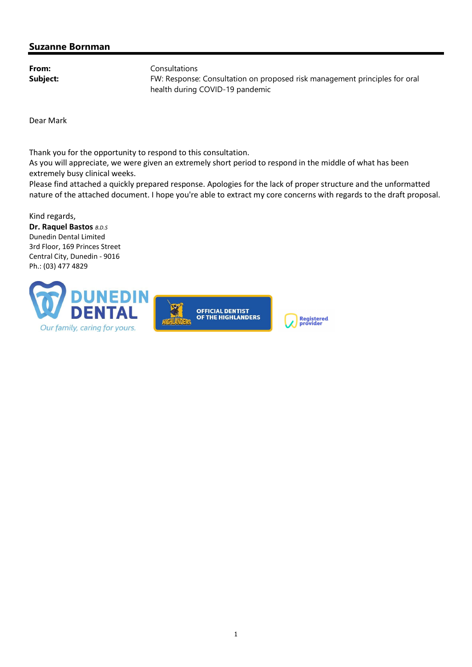## Suzanne Bornman

From: Consultations Subject: FW: Response: Consultation on proposed risk management principles for oral health during COVID-19 pandemic

Dear Mark

Thank you for the opportunity to respond to this consultation.

As you will appreciate, we were given an extremely short period to respond in the middle of what has been extremely busy clinical weeks.

Please find attached a quickly prepared response. Apologies for the lack of proper structure and the unformatted nature of the attached document. I hope you're able to extract my core concerns with regards to the draft proposal.

Kind regards,

Dr. Raquel Bastos B.D.S Dunedin Dental Limited 3rd Floor, 169 Princes Street Central City, Dunedin - 9016 Ph.: (03) 477 4829

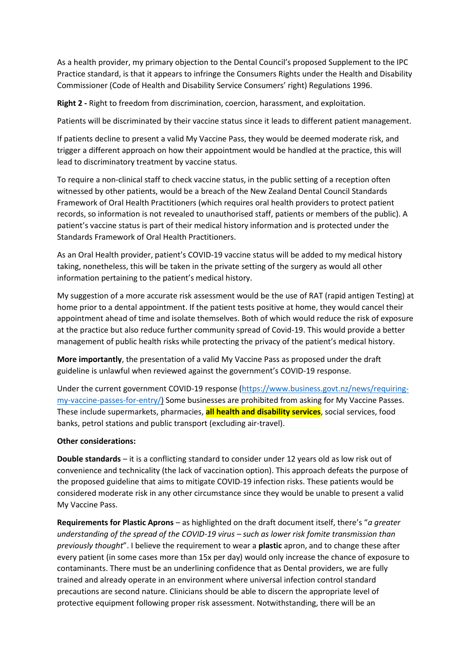As a health provider, my primary objection to the Dental Council's proposed Supplement to the IPC Practice standard, is that it appears to infringe the Consumers Rights under the Health and Disability Commissioner (Code of Health and Disability Service Consumers' right) Regulations 1996.

**Right 2 -** Right to freedom from discrimination, coercion, harassment, and exploitation.

Patients will be discriminated by their vaccine status since it leads to different patient management.

If patients decline to present a valid My Vaccine Pass, they would be deemed moderate risk, and trigger a different approach on how their appointment would be handled at the practice, this will lead to discriminatory treatment by vaccine status.

To require a non-clinical staff to check vaccine status, in the public setting of a reception often witnessed by other patients, would be a breach of the New Zealand Dental Council Standards Framework of Oral Health Practitioners (which requires oral health providers to protect patient records, so information is not revealed to unauthorised staff, patients or members of the public). A patient's vaccine status is part of their medical history information and is protected under the Standards Framework of Oral Health Practitioners.

As an Oral Health provider, patient's COVID-19 vaccine status will be added to my medical history taking, nonetheless, this will be taken in the private setting of the surgery as would all other information pertaining to the patient's medical history.

My suggestion of a more accurate risk assessment would be the use of RAT (rapid antigen Testing) at home prior to a dental appointment. If the patient tests positive at home, they would cancel their appointment ahead of time and isolate themselves. Both of which would reduce the risk of exposure at the practice but also reduce further community spread of Covid-19. This would provide a better management of public health risks while protecting the privacy of the patient's medical history.

**More importantly**, the presentation of a valid My Vaccine Pass as proposed under the draft guideline is unlawful when reviewed against the government's COVID-19 response.

Under the current government COVID-19 response [\(https://www.business.govt.nz/news/requiring](https://www.business.govt.nz/news/requiring-my-vaccine-passes-for-entry/)[my-vaccine-passes-for-entry/\)](https://www.business.govt.nz/news/requiring-my-vaccine-passes-for-entry/) Some businesses are prohibited from asking for My Vaccine Passes. These include supermarkets, pharmacies, **all health and disability services**, social services, food banks, petrol stations and public transport (excluding air-travel).

## **Other considerations:**

**Double standards** – it is a conflicting standard to consider under 12 years old as low risk out of convenience and technicality (the lack of vaccination option). This approach defeats the purpose of the proposed guideline that aims to mitigate COVID-19 infection risks. These patients would be considered moderate risk in any other circumstance since they would be unable to present a valid My Vaccine Pass.

**Requirements for Plastic Aprons** – as highlighted on the draft document itself, there's "*a greater understanding of the spread of the COVID-19 virus – such as lower risk fomite transmission than previously thought*". I believe the requirement to wear a **plastic** apron, and to change these after every patient (in some cases more than 15x per day) would only increase the chance of exposure to contaminants. There must be an underlining confidence that as Dental providers, we are fully trained and already operate in an environment where universal infection control standard precautions are second nature. Clinicians should be able to discern the appropriate level of protective equipment following proper risk assessment. Notwithstanding, there will be an